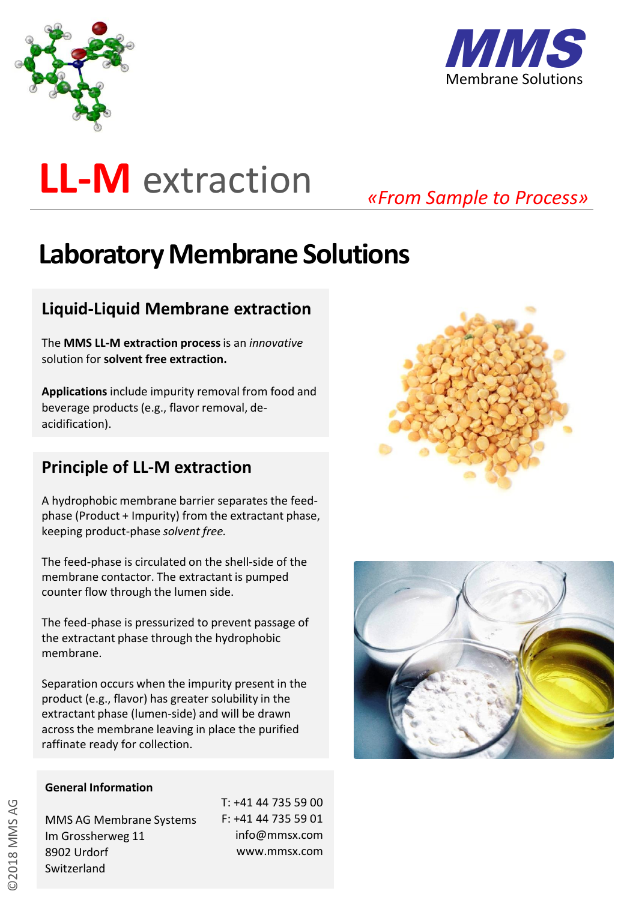



# **LL-M** extraction

*«From Sample to Process»*

# **Laboratory Membrane Solutions**

## **Liquid-Liquid Membrane extraction**

The **MMS LL-M extraction process** is an *innovative*  solution for **solvent free extraction.** 

**Applications** include impurity removal from food and beverage products (e.g., flavor removal, deacidification).

### **Principle of LL-M extraction**

A hydrophobic membrane barrier separates the feedphase (Product + Impurity) from the extractant phase, keeping product-phase *solvent free.*

The feed-phase is circulated on the shell-side of the membrane contactor. The extractant is pumped counter flow through the lumen side.

The feed-phase is pressurized to prevent passage of the extractant phase through the hydrophobic membrane.

Separation occurs when the impurity present in the product (e.g., flavor) has greater solubility in the extractant phase (lumen-side) and will be drawn across the membrane leaving in place the purified raffinate ready for collection.





#### **General Information**

MMS AG Membrane Systems Im Grossherweg 11 8902 Urdorf **Switzerland** 

T: +41 44 735 59 00 F: +41 44 735 59 01 info@mmsx.com www.mmsx.com